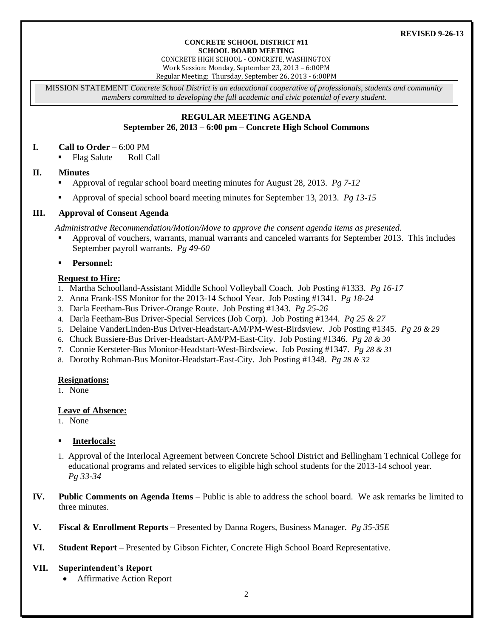#### **CONCRETE SCHOOL DISTRICT #11 SCHOOL BOARD MEETING**

CONCRETE HIGH SCHOOL - CONCRETE, WASHINGTON Work Session: Monday, September 23, 2013 – 6:00PM Regular Meeting: Thursday, September 26, 2013 - 6:00PM

MISSION STATEMENT *Concrete School District is an educational cooperative of professionals, students and community members committed to developing the full academic and civic potential of every student.*

## **REGULAR MEETING AGENDA September 26, 2013 – 6:00 pm – Concrete High School Commons**

### **I. Call to Order** – 6:00 PM

• Flag Salute Roll Call

### **II. Minutes**

- Approval of regular school board meeting minutes for August 28, 2013. *Pg 7-12*
- Approval of special school board meeting minutes for September 13, 2013. *Pg 13-15*

### **III. Approval of Consent Agenda**

*Administrative Recommendation/Motion/Move to approve the consent agenda items as presented.*

 Approval of vouchers, warrants, manual warrants and canceled warrants for September 2013. This includes September payroll warrants. *Pg 49-60*

### **Personnel:**

### **Request to Hire:**

- 1. Martha Schoolland-Assistant Middle School Volleyball Coach. Job Posting #1333. *Pg 16-17*
- 2. Anna Frank-ISS Monitor for the 2013-14 School Year. Job Posting #1341. *Pg 18-24*
- 3. Darla Feetham-Bus Driver-Orange Route. Job Posting #1343. *Pg 25-26*
- 4. Darla Feetham-Bus Driver-Special Services (Job Corp). Job Posting #1344. *Pg 25 & 27*
- 5. Delaine VanderLinden-Bus Driver-Headstart-AM/PM-West-Birdsview. Job Posting #1345. *Pg 28 & 29*
- 6. Chuck Bussiere-Bus Driver-Headstart-AM/PM-East-City. Job Posting #1346. *Pg 28 & 30*
- 7. Connie Kersteter-Bus Monitor-Headstart-West-Birdsview. Job Posting #1347. *Pg 28 & 31*
- 8. Dorothy Rohman-Bus Monitor-Headstart-East-City. Job Posting #1348. *Pg 28 & 32*

#### **Resignations:**

1. None

#### **Leave of Absence:**

1. None

### **Interlocals:**

- 1. Approval of the Interlocal Agreement between Concrete School District and Bellingham Technical College for educational programs and related services to eligible high school students for the 2013-14 school year. *Pg 33-34*
- **IV. Public Comments on Agenda Items** Public is able to address the school board. We ask remarks be limited to three minutes.
- **V. Fiscal & Enrollment Reports –** Presented by Danna Rogers, Business Manager. *Pg 35-35E*
- **VI. Student Report** Presented by Gibson Fichter, Concrete High School Board Representative.

### **VII. Superintendent's Report**

Affirmative Action Report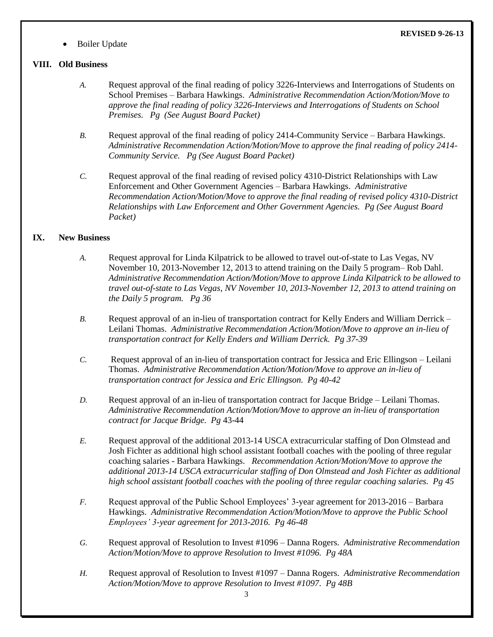Boiler Update

# **VIII. Old Business**

**REVISED 9-26-13**

- *A.* Request approval of the final reading of policy 3226-Interviews and Interrogations of Students on School Premises – Barbara Hawkings. *Administrative Recommendation Action/Motion/Move to approve the final reading of policy 3226-Interviews and Interrogations of Students on School Premises. Pg (See August Board Packet)*
- *B.* Request approval of the final reading of policy 2414-Community Service Barbara Hawkings. *Administrative Recommendation Action/Motion/Move to approve the final reading of policy 2414- Community Service. Pg (See August Board Packet)*
- *C.* Request approval of the final reading of revised policy 4310-District Relationships with Law Enforcement and Other Government Agencies – Barbara Hawkings. *Administrative Recommendation Action/Motion/Move to approve the final reading of revised policy 4310-District Relationships with Law Enforcement and Other Government Agencies. Pg (See August Board Packet)*

# **IX. New Business**

- *A.* Request approval for Linda Kilpatrick to be allowed to travel out-of-state to Las Vegas, NV November 10, 2013-November 12, 2013 to attend training on the Daily 5 program– Rob Dahl. *Administrative Recommendation Action/Motion/Move to approve Linda Kilpatrick to be allowed to travel out-of-state to Las Vegas, NV November 10, 2013-November 12, 2013 to attend training on the Daily 5 program. Pg 36*
- *B.* Request approval of an in-lieu of transportation contract for Kelly Enders and William Derrick Leilani Thomas. *Administrative Recommendation Action/Motion/Move to approve an in-lieu of transportation contract for Kelly Enders and William Derrick. Pg 37-39*
- *C.* Request approval of an in-lieu of transportation contract for Jessica and Eric Ellingson Leilani Thomas. *Administrative Recommendation Action/Motion/Move to approve an in-lieu of transportation contract for Jessica and Eric Ellingson. Pg 40-42*
- *D.* Request approval of an in-lieu of transportation contract for Jacque Bridge Leilani Thomas. *Administrative Recommendation Action/Motion/Move to approve an in-lieu of transportation contract for Jacque Bridge. Pg* 43-44
- *E.* Request approval of the additional 2013-14 USCA extracurricular staffing of Don Olmstead and Josh Fichter as additional high school assistant football coaches with the pooling of three regular coaching salaries - Barbara Hawkings. *Recommendation Action/Motion/Move to approve the additional 2013-14 USCA extracurricular staffing of Don Olmstead and Josh Fichter as additional high school assistant football coaches with the pooling of three regular coaching salaries. Pg 45*
- *F.* Request approval of the Public School Employees' 3-year agreement for 2013-2016 Barbara Hawkings. *Administrative Recommendation Action/Motion/Move to approve the Public School Employees' 3-year agreement for 2013-2016. Pg 46-48*
- *G.* Request approval of Resolution to Invest #1096 Danna Rogers. *Administrative Recommendation Action/Motion/Move to approve Resolution to Invest #1096. Pg 48A*
- *H.* Request approval of Resolution to Invest #1097 Danna Rogers. *Administrative Recommendation Action/Motion/Move to approve Resolution to Invest #1097. Pg 48B*